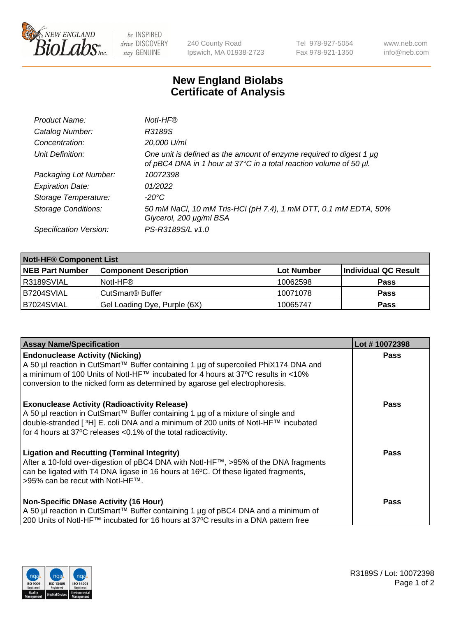

 $be$  INSPIRED drive DISCOVERY stay GENUINE

240 County Road Ipswich, MA 01938-2723 Tel 978-927-5054 Fax 978-921-1350 www.neb.com info@neb.com

## **New England Biolabs Certificate of Analysis**

| Product Name:              | Notl-HF®                                                                                                                                  |
|----------------------------|-------------------------------------------------------------------------------------------------------------------------------------------|
| Catalog Number:            | R3189S                                                                                                                                    |
| Concentration:             | 20,000 U/ml                                                                                                                               |
| Unit Definition:           | One unit is defined as the amount of enzyme required to digest 1 µg<br>of pBC4 DNA in 1 hour at 37°C in a total reaction volume of 50 µl. |
| Packaging Lot Number:      | 10072398                                                                                                                                  |
| <b>Expiration Date:</b>    | 01/2022                                                                                                                                   |
| Storage Temperature:       | $-20^{\circ}$ C                                                                                                                           |
| <b>Storage Conditions:</b> | 50 mM NaCl, 10 mM Tris-HCl (pH 7.4), 1 mM DTT, 0.1 mM EDTA, 50%<br>Glycerol, 200 µg/ml BSA                                                |
| Specification Version:     | PS-R3189S/L v1.0                                                                                                                          |

| <b>Notl-HF® Component List</b> |                              |            |                      |  |
|--------------------------------|------------------------------|------------|----------------------|--|
| <b>NEB Part Number</b>         | <b>Component Description</b> | Lot Number | Individual QC Result |  |
| R3189SVIAL                     | Notl-HF®                     | 10062598   | <b>Pass</b>          |  |
| IB7204SVIAL                    | CutSmart <sup>®</sup> Buffer | 10071078   | <b>Pass</b>          |  |
| B7024SVIAL                     | Gel Loading Dye, Purple (6X) | 10065747   | <b>Pass</b>          |  |

| <b>Assay Name/Specification</b>                                                                                                                                                                                                                                                                            | Lot #10072398 |
|------------------------------------------------------------------------------------------------------------------------------------------------------------------------------------------------------------------------------------------------------------------------------------------------------------|---------------|
| <b>Endonuclease Activity (Nicking)</b><br>  A 50 µl reaction in CutSmart™ Buffer containing 1 µg of supercoiled PhiX174 DNA and                                                                                                                                                                            | <b>Pass</b>   |
| a minimum of 100 Units of Notl-HF™ incubated for 4 hours at 37°C results in <10%<br>conversion to the nicked form as determined by agarose gel electrophoresis.                                                                                                                                            |               |
| <b>Exonuclease Activity (Radioactivity Release)</b><br>A 50 µl reaction in CutSmart™ Buffer containing 1 µg of a mixture of single and<br>double-stranded [ <sup>3</sup> H] E. coli DNA and a minimum of 200 units of Notl-HF™ incubated<br>for 4 hours at 37°C releases <0.1% of the total radioactivity. | <b>Pass</b>   |
| <b>Ligation and Recutting (Terminal Integrity)</b><br>After a 10-fold over-digestion of pBC4 DNA with Notl-HF™, >95% of the DNA fragments<br>can be ligated with T4 DNA ligase in 16 hours at 16 $\degree$ C. Of these ligated fragments,<br> >95% can be recut with NotI-HF™.                             | <b>Pass</b>   |
| <b>Non-Specific DNase Activity (16 Hour)</b><br>  A 50 µl reaction in CutSmart™ Buffer containing 1 µg of pBC4 DNA and a minimum of<br>200 Units of Notl-HF™ incubated for 16 hours at 37°C results in a DNA pattern free                                                                                  | <b>Pass</b>   |